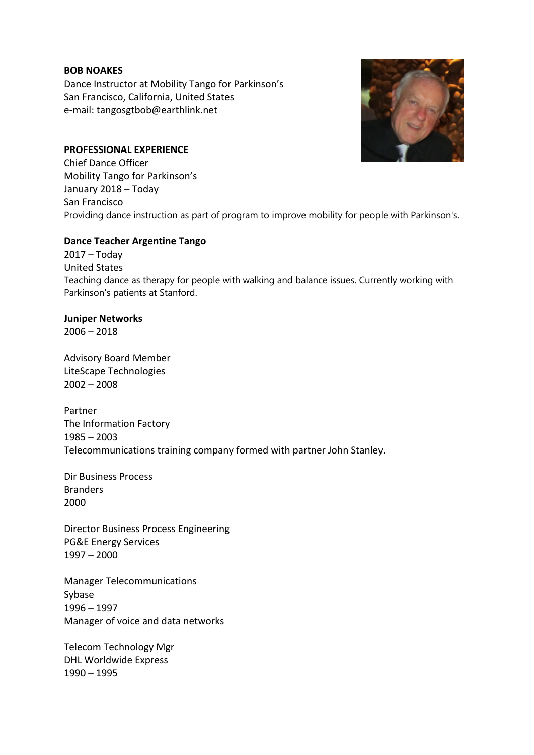### **BOB NOAKES**

Dance Instructor at Mobility Tango for Parkinson's San Francisco, California, United States e-mail: tangosgtbob@earthlink.net

## **PROFESSIONAL EXPERIENCE**

Chief Dance Officer Mobility Tango for Parkinson's January 2018 – Today San Francisco Providing dance instruction as part of program to improve mobility for people with Parkinson's.

## **Dance Teacher Argentine Tango**

2017 – Today United States Teaching dance as therapy for people with walking and balance issues. Currently working with Parkinson's patients at Stanford.

# **Juniper Networks**

 $2006 - 2018$ 

Advisory Board Member LiteScape Technologies 2002 – 2008

Partner The Information Factory 1985 – 2003 Telecommunications training company formed with partner John Stanley.

Dir Business Process Branders 2000

Director Business Process Engineering PG&E Energy Services 1997 – 2000

Manager Telecommunications Sybase 1996 – 1997 Manager of voice and data networks

Telecom Technology Mgr DHL Worldwide Express 1990 – 1995